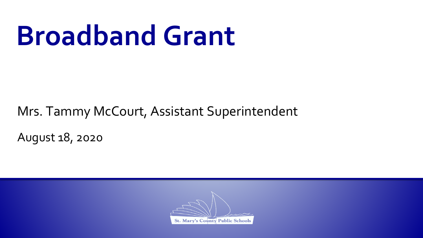### **Broadband Grant**

Mrs. Tammy McCourt, Assistant Superintendent

August 18, 2020

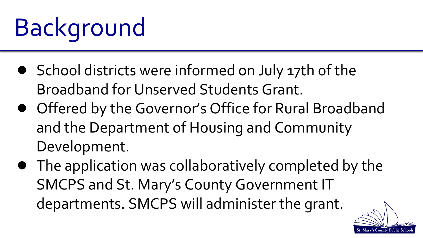# Background

- School districts were informed on July 17th of the Broadband for Unserved Students Grant.
- Offered by the Governor's Office for Rural Broadband and the Department of Housing and Community Development.
- The application was collaboratively completed by the SMCPS and St. Mary's County Government IT departments. SMCPS will administer the grant.

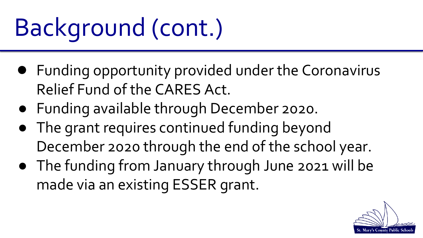## Background (cont.)

- Funding opportunity provided under the Coronavirus Relief Fund of the CARES Act.
- Funding available through December 2020.
- The grant requires continued funding beyond December 2020 through the end of the school year.
- The funding from January through June 2021 will be made via an existing ESSER grant.

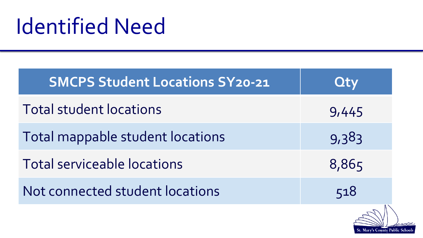#### Identified Need

| <b>SMCPS Student Locations SY20-21</b> | <b>Oty</b> |
|----------------------------------------|------------|
| <b>Total student locations</b>         | 9,445      |
| Total mappable student locations       | 9,383      |
| Total serviceable locations            | 8,865      |
| Not connected student locations        | 518        |
|                                        |            |

St. Mary's County Public Schools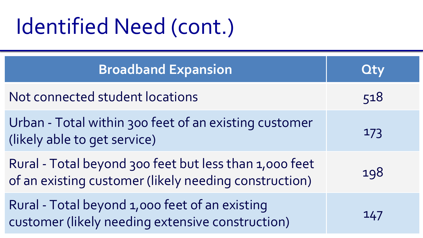#### Identified Need (cont.)

| <b>Broadband Expansion</b>                                                                                      | <b>Qty</b> |
|-----------------------------------------------------------------------------------------------------------------|------------|
| Not connected student locations                                                                                 | 518        |
| Urban - Total within 300 feet of an existing customer<br>(likely able to get service)                           | 173        |
| Rural - Total beyond 300 feet but less than 1,000 feet<br>of an existing customer (likely needing construction) | 198        |
| Rural - Total beyond 1,000 feet of an existing<br>customer (likely needing extensive construction)              | 147        |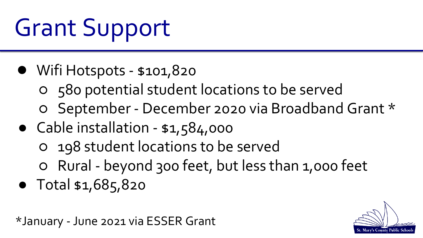Grant Support

- Wifi Hotspots \$101,820
	- 580 potential student locations to be served
	- September December 2020 via Broadband Grant \*
- Cable installation \$1,584,000
	- 198 student locations to be served
	- Rural beyond 300 feet, but less than 1,000 feet
- Total \$1,685,820

\*January - June 2021 via ESSER Grant